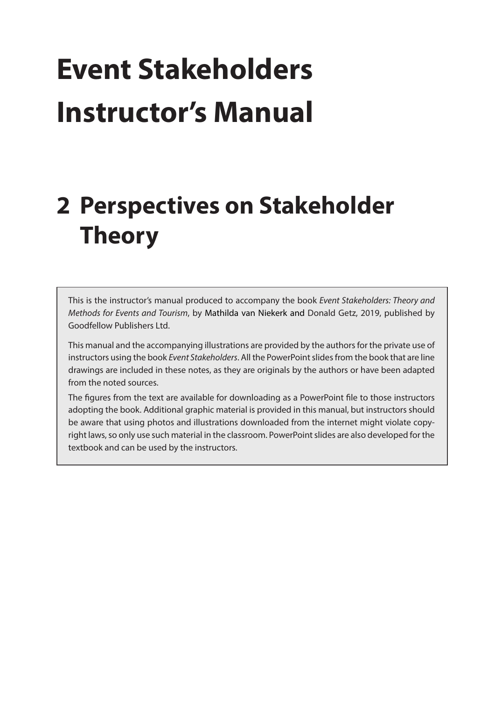# **Event Stakeholders Instructor's Manual**

## **2 Perspectives on Stakeholder Theory**

This is the instructor's manual produced to accompany the book *Event Stakeholders: Theory and Methods for Events and Tourism*, by Mathilda van Niekerk and Donald Getz, 2019, published by Goodfellow Publishers Ltd.

This manual and the accompanying illustrations are provided by the authors for the private use of instructors using the book *Event Stakeholders*. All the PowerPoint slides from the book that are line drawings are included in these notes, as they are originals by the authors or have been adapted from the noted sources.

The figures from the text are available for downloading as a PowerPoint file to those instructors adopting the book. Additional graphic material is provided in this manual, but instructors should be aware that using photos and illustrations downloaded from the internet might violate copyright laws, so only use such material in the classroom. PowerPoint slides are also developed for the textbook and can be used by the instructors.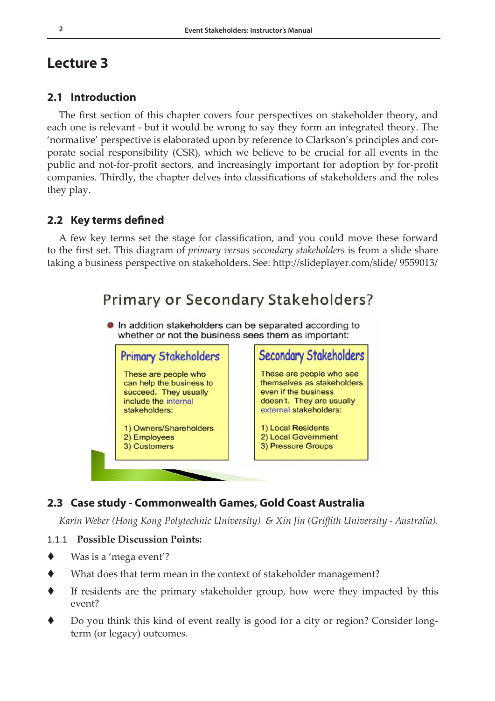### **Lecture 3**

#### **2.1 Introduction**

The first section of this chapter covers four perspectives on stakeholder theory, and each one is relevant - but it would be wrong to say they form an integrated theory. The 'normative' perspective is elaborated upon by reference to Clarkson's principles and corporate social responsibility (CSR), which we believe to be crucial for all events in the public and not-for-profit sectors, and increasingly important for adoption by for-profit companies. Thirdly, the chapter delves into classifications of stakeholders and the roles they play.

#### **2.2 Key terms defined**

A few key terms set the stage for classification, and you could move these forward to the first set. This diagram of *primary versus secondary stakeholders* is from a slide share taking a business perspective on stakeholders. See:<http://slideplayer.com/slide/>9559013/

## Primary or Secondary Stakeholders?

In addition stakeholders can be separated according to whether or not the business sees them as important:



#### **2.3 Case study - Commonwealth Games, Gold Coast Australia**

*Karin Weber (Hong Kong Polytechnic University) & Xin Jin (Griffith University - Australia).* 

#### 1.1.1 **Possible Discussion Points:**

- ◆ Was is a 'mega event'?
- What does that term mean in the context of stakeholder management?
- If residents are the primary stakeholder group, how were they impacted by this event?
- Do you think this kind of event really is good for a city or region? Consider longterm (or legacy) outcomes.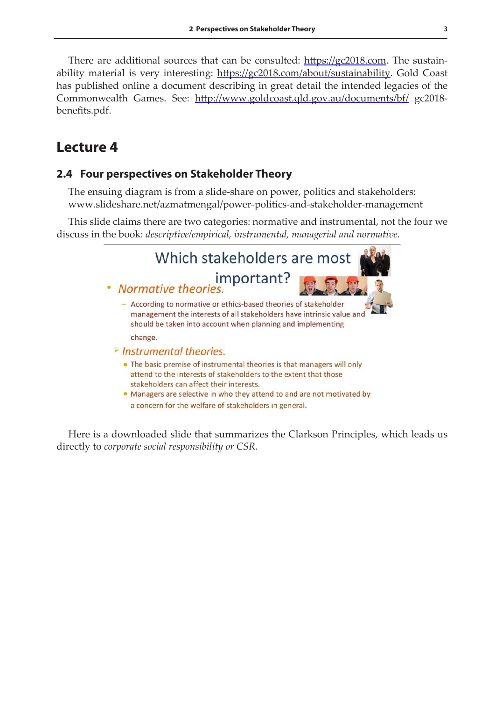There are additional sources that can be consulted: [https://gc2018.com.](https://gc2018.com) The sustainability material is very interesting: [https://gc2018.com/about/sustainability.](https://gc2018.com/about/sustainability) Gold Coast has published online a document describing in great detail the intended legacies of the Commonwealth Games. See: <http://www.goldcoast.qld.gov.au/documents/bf/>gc2018 benefits.pdf.

## **Lecture 4**

#### **2.4 Four perspectives on Stakeholder Theory**

The ensuing diagram is from a slide-share on power, politics and stakeholders: www.slideshare.net/azmatmengal/power-politics-and-stakeholder-management

This slide claims there are two categories: normative and instrumental, not the four we discuss in the book: *descriptive/empirical, instrumental, managerial and normative.*



Here is a downloaded slide that summarizes the Clarkson Principles, which leads us directly to *corporate social responsibility or CSR.*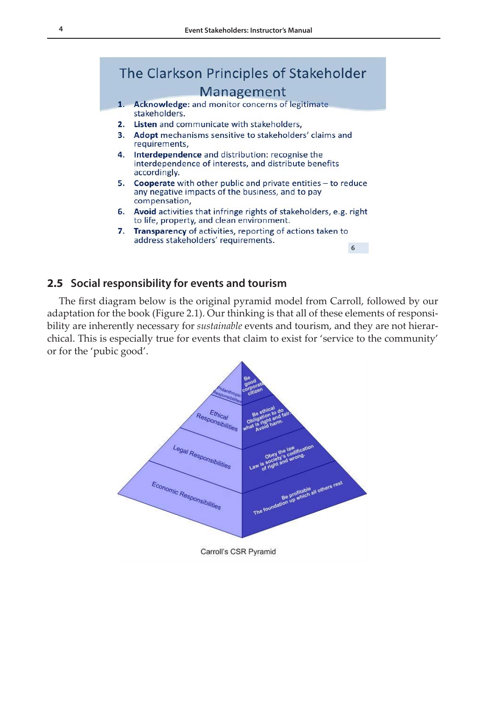## The Clarkson Principles of Stakeholder Management

- Acknowledge: and monitor concerns of legitimate  $\mathbf{1}$ stakeholders.
- 2. Listen and communicate with stakeholders.
- 3. Adopt mechanisms sensitive to stakeholders' claims and requirements,
- 4. Interdependence and distribution: recognise the interdependence of interests, and distribute benefits accordingly.
- 5. Cooperate with other public and private entities  $-$  to reduce any negative impacts of the business, and to pay compensation,
- 6. Avoid activities that infringe rights of stakeholders, e.g. right to life, property, and clean environment.
- 7. Transparency of activities, reporting of actions taken to address stakeholders' requirements. 6

#### **2.5 Social responsibility for events and tourism**

The first diagram below is the original pyramid model from Carroll, followed by our adaptation for the book (Figure 2.1). Our thinking is that all of these elements of responsibility are inherently necessary for *sustainable* events and tourism, and they are not hierarchical. This is especially true for events that claim to exist for 'service to the community' or for the 'pubic good'.

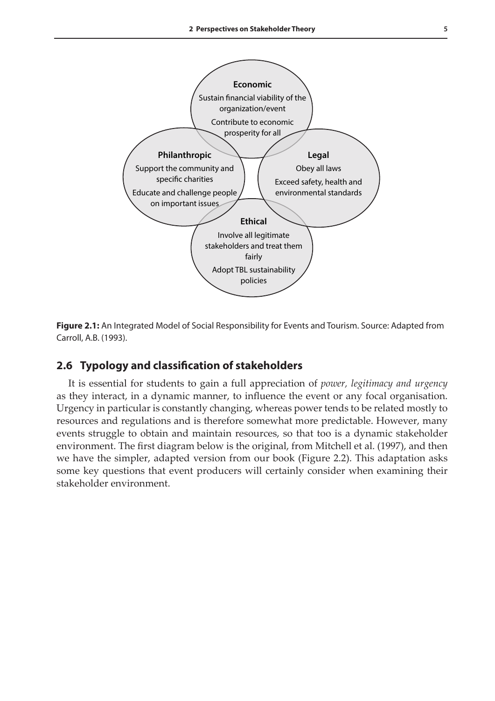

**Figure 2.1:** An Integrated Model of Social Responsibility for Events and Tourism. Source: Adapted from Carroll, A.B. (1993).

#### **2.6 Typology and classification of stakeholders**

It is essential for students to gain a full appreciation of *power, legitimacy and urgency* as they interact, in a dynamic manner, to influence the event or any focal organisation. Urgency in particular is constantly changing, whereas power tends to be related mostly to resources and regulations and is therefore somewhat more predictable. However, many events struggle to obtain and maintain resources, so that too is a dynamic stakeholder environment. The first diagram below is the original, from Mitchell et al. (1997), and then we have the simpler, adapted version from our book (Figure 2.2). This adaptation asks some key questions that event producers will certainly consider when examining their stakeholder environment.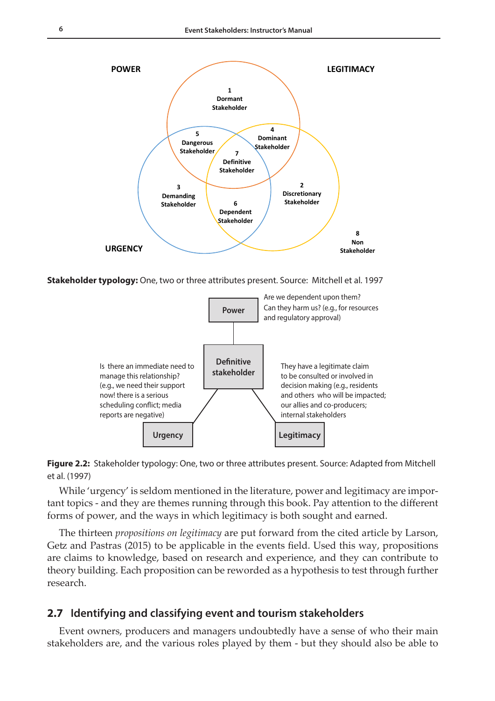

**Stakeholder typology:** One, two or three attributes present. Source: Mitchell et al. 1997



**Figure 2.2:** Stakeholder typology: One, two or three attributes present. Source: Adapted from Mitchell et al. (1997)

While 'urgency' is seldom mentioned in the literature, power and legitimacy are important topics - and they are themes running through this book. Pay attention to the different forms of power, and the ways in which legitimacy is both sought and earned.

The thirteen *propositions on legitimacy* are put forward from the cited article by Larson, Getz and Pastras (2015) to be applicable in the events field. Used this way, propositions are claims to knowledge, based on research and experience, and they can contribute to theory building. Each proposition can be reworded as a hypothesis to test through further research.

#### **2.7 Identifying and classifying event and tourism stakeholders**

Event owners, producers and managers undoubtedly have a sense of who their main stakeholders are, and the various roles played by them - but they should also be able to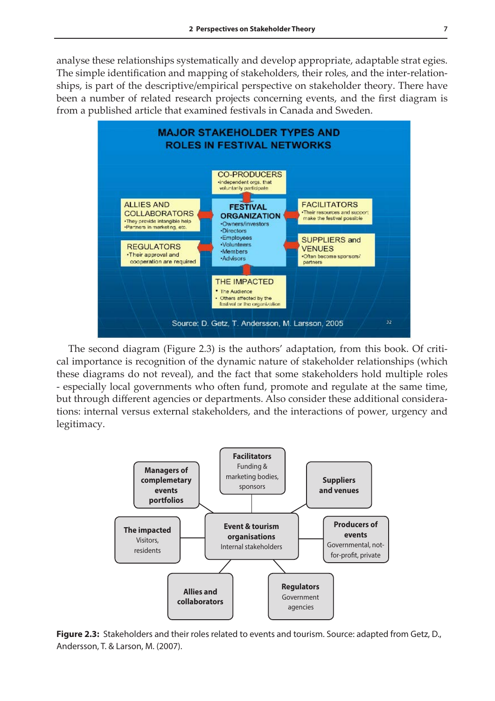analyse these relationships systematically and develop appropriate, adaptable strat egies. The simple identification and mapping of stakeholders, their roles, and the inter-relationships, is part of the descriptive/empirical perspective on stakeholder theory. There have been a number of related research projects concerning events, and the first diagram is from a published article that examined festivals in Canada and Sweden.



The second diagram (Figure 2.3) is the authors' adaptation, from this book. Of critical importance is recognition of the dynamic nature of stakeholder relationships (which these diagrams do not reveal), and the fact that some stakeholders hold multiple roles - especially local governments who often fund, promote and regulate at the same time,  $\boldsymbol{\lambda}$  through different agencies or departments. Also consider these additional considerations: internal versus external stakeholders, and the interactions of power, urgency and legitimacy.



**Figure 2.3:** Stakeholders and their roles related to events and tourism. Source: adapted from Getz, D., Andersson, T. & Larson, M. (2007).